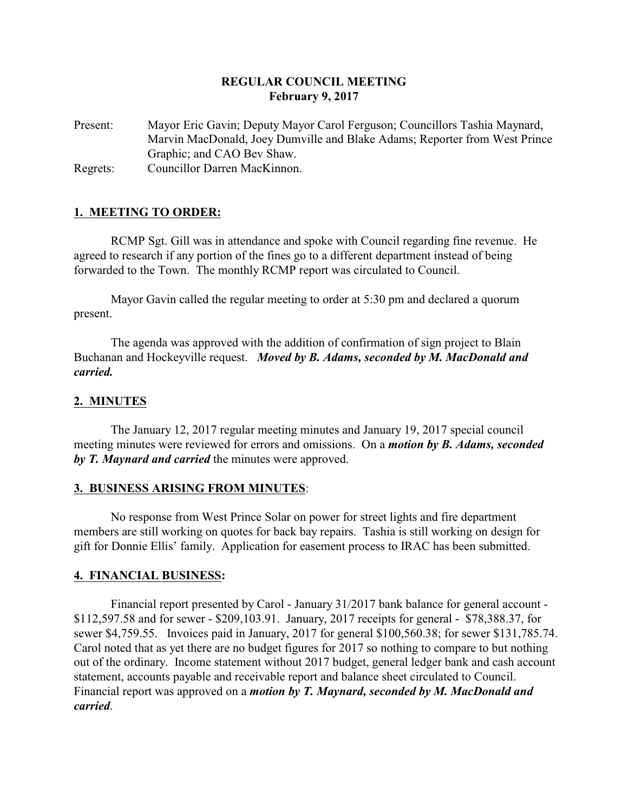# **REGULAR COUNCIL MEETING February 9, 2017**

Present: Mayor Eric Gavin; Deputy Mayor Carol Ferguson; Councillors Tashia Maynard, Marvin MacDonald, Joey Dumville and Blake Adams; Reporter from West Prince Graphic; and CAO Bev Shaw. Regrets: Councillor Darren MacKinnon.

# **1. MEETING TO ORDER:**

RCMP Sgt. Gill was in attendance and spoke with Council regarding fine revenue. He agreed to research if any portion of the fines go to a different department instead of being forwarded to the Town. The monthly RCMP report was circulated to Council.

Mayor Gavin called the regular meeting to order at 5:30 pm and declared a quorum present.

The agenda was approved with the addition of confirmation of sign project to Blain Buchanan and Hockeyville request. *Moved by B. Adams, seconded by M. MacDonald and carried.*

# **2. MINUTES**

The January 12, 2017 regular meeting minutes and January 19, 2017 special council meeting minutes were reviewed for errors and omissions. On a *motion by B. Adams, seconded by T. Maynard and carried* the minutes were approved.

### **3. BUSINESS ARISING FROM MINUTES**:

No response from West Prince Solar on power for street lights and fire department members are still working on quotes for back bay repairs. Tashia is still working on design for gift for Donnie Ellis' family. Application for easement process to IRAC has been submitted.

### **4. FINANCIAL BUSINESS:**

Financial report presented by Carol - January 31/2017 bank balance for general account - \$112,597.58 and for sewer - \$209,103.91. January, 2017 receipts for general - \$78,388.37, for sewer \$4,759.55. Invoices paid in January, 2017 for general \$100,560.38; for sewer \$131,785.74. Carol noted that as yet there are no budget figures for 2017 so nothing to compare to but nothing out of the ordinary. Income statement without 2017 budget, general ledger bank and cash account statement, accounts payable and receivable report and balance sheet circulated to Council. Financial report was approved on a *motion by T. Maynard, seconded by M. MacDonald and carried*.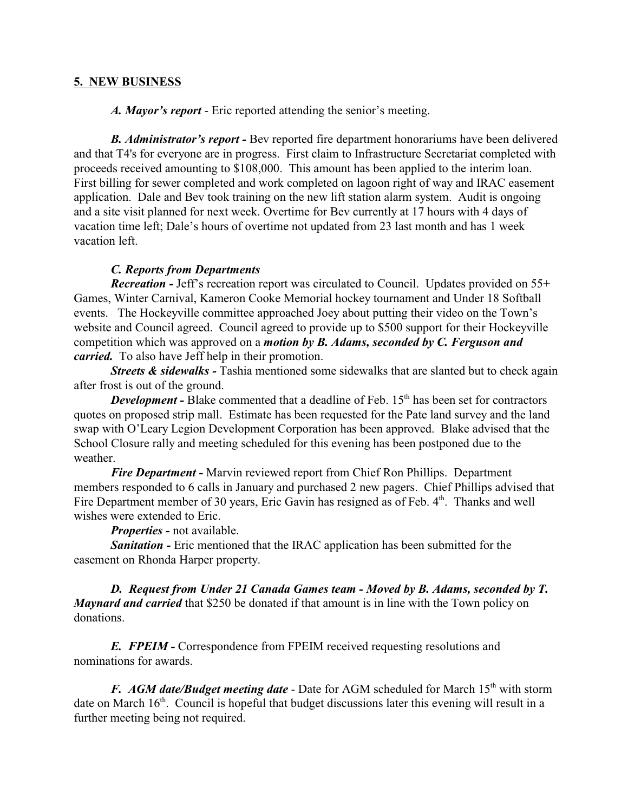# **5. NEW BUSINESS**

*A. Mayor's report* - Eric reported attending the senior's meeting.

*B. Administrator's report -* Bev reported fire department honorariums have been delivered and that T4's for everyone are in progress. First claim to Infrastructure Secretariat completed with proceeds received amounting to \$108,000. This amount has been applied to the interim loan. First billing for sewer completed and work completed on lagoon right of way and IRAC easement application. Dale and Bev took training on the new lift station alarm system. Audit is ongoing and a site visit planned for next week. Overtime for Bev currently at 17 hours with 4 days of vacation time left; Dale's hours of overtime not updated from 23 last month and has 1 week vacation left.

### *C. Reports from Departments*

*Recreation -* Jeff's recreation report was circulated to Council. Updates provided on 55+ Games, Winter Carnival, Kameron Cooke Memorial hockey tournament and Under 18 Softball events. The Hockeyville committee approached Joey about putting their video on the Town's website and Council agreed. Council agreed to provide up to \$500 support for their Hockeyville competition which was approved on a *motion by B. Adams, seconded by C. Ferguson and carried.* To also have Jeff help in their promotion.

*Streets & sidewalks -* Tashia mentioned some sidewalks that are slanted but to check again after frost is out of the ground.

**Development -** Blake commented that a deadline of Feb. 15<sup>th</sup> has been set for contractors quotes on proposed strip mall. Estimate has been requested for the Pate land survey and the land swap with O'Leary Legion Development Corporation has been approved. Blake advised that the School Closure rally and meeting scheduled for this evening has been postponed due to the weather.

*Fire Department -* Marvin reviewed report from Chief Ron Phillips. Department members responded to 6 calls in January and purchased 2 new pagers. Chief Phillips advised that Fire Department member of 30 years, Eric Gavin has resigned as of Feb. 4<sup>th</sup>. Thanks and well wishes were extended to Eric.

*Properties -* not available.

*Sanitation -* Eric mentioned that the IRAC application has been submitted for the easement on Rhonda Harper property.

*D. Request from Under 21 Canada Games team - Moved by B. Adams, seconded by T. Maynard and carried* that \$250 be donated if that amount is in line with the Town policy on donations.

**E. FPEIM -** Correspondence from FPEIM received requesting resolutions and nominations for awards.

F. AGM date/Budget meeting date - Date for AGM scheduled for March 15<sup>th</sup> with storm date on March 16<sup>th</sup>. Council is hopeful that budget discussions later this evening will result in a further meeting being not required.